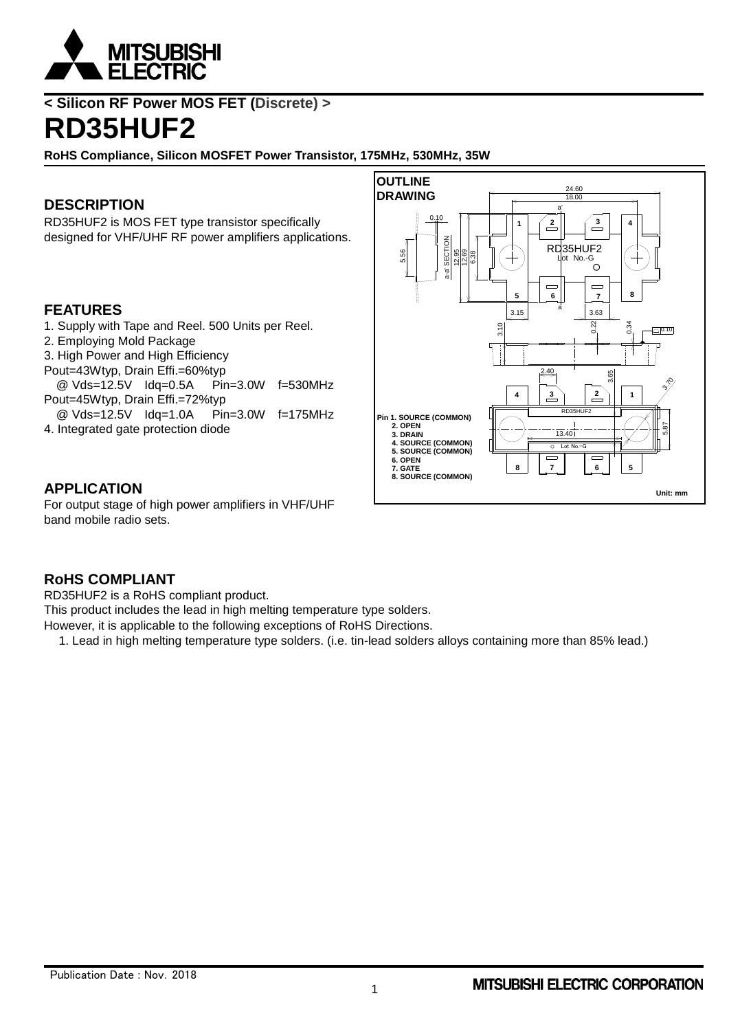

**< Silicon RF Power MOS FET (Discrete) >**

# **RD35HUF2**

**RoHS Compliance, Silicon MOSFET Power Transistor, 175MHz, 530MHz, 35W**

# **DESCRIPTION**

RD35HUF2 is MOS FET type transistor specifically designed for VHF/UHF RF power amplifiers applications.

### **FEATURES**

- 1. Supply with Tape and Reel. 500 Units per Reel.
- 2. Employing Mold Package
- 3. High Power and High Efficiency
- Pout=43Wtyp, Drain Effi.=60%typ
- @ Vds=12.5V Idq=0.5A Pin=3.0W f=530MHz Pout=45Wtyp, Drain Effi.=72%typ
- @ Vds=12.5V Idq=1.0A Pin=3.0W f=175MHz
- 4. Integrated gate protection diode

### **APPLICATION**

For output stage of high power amplifiers in VHF/UHF band mobile radio sets.



### **RoHS COMPLIANT**

RD35HUF2 is a RoHS compliant product.

This product includes the lead in high melting temperature type solders.

However, it is applicable to the following exceptions of RoHS Directions.

1. Lead in high melting temperature type solders. (i.e. tin-lead solders alloys containing more than 85% lead.)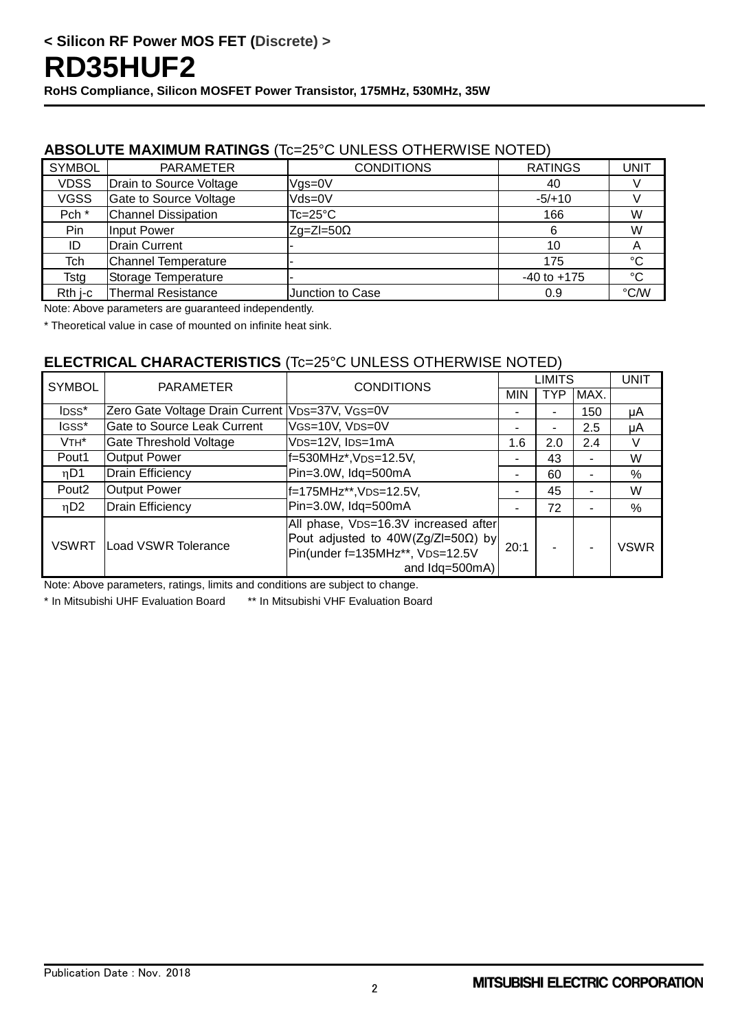### **ABSOLUTE MAXIMUM RATINGS** (Tc=25°C UNLESS OTHERWISE NOTED)

| <b>SYMBOL</b>    | <b>PARAMETER</b>           | <b>CONDITIONS</b>  | <b>RATINGS</b>  | <b>UNIT</b>     |
|------------------|----------------------------|--------------------|-----------------|-----------------|
| <b>VDSS</b>      | Drain to Source Voltage    | Vgs=0V             | 40              |                 |
| <b>VGSS</b>      | Gate to Source Voltage     | Vds=0V             | $-5/+10$        |                 |
| Pch <sup>*</sup> | <b>Channel Dissipation</b> | $Tc = 25^{\circ}C$ | 166             | W               |
| Pin              | Input Power                | $ Zq=Z =50\Omega$  | 6               | W               |
| ID               | <b>Drain Current</b>       |                    | 10              | Α               |
| Tch              | <b>Channel Temperature</b> |                    | 175             | °C              |
| Tsta             | Storage Temperature        |                    | $-40$ to $+175$ | $\rm ^{\circ}C$ |
| Rth i-c          | Thermal Resistance         | Junction to Case   | 0.9             | °C/W            |

Note: Above parameters are guaranteed independently.

\* Theoretical value in case of mounted on infinite heat sink.

# **ELECTRICAL CHARACTERISTICS** (Tc=25°C UNLESS OTHERWISE NOTED)

| <b>SYMBOL</b>     | PARAMETER                                       | <b>CONDITIONS</b>                                                                                                                        | LIMITS     |            |                | UNIT          |
|-------------------|-------------------------------------------------|------------------------------------------------------------------------------------------------------------------------------------------|------------|------------|----------------|---------------|
|                   |                                                 |                                                                                                                                          | <b>MIN</b> | <b>TYP</b> | MAX.           |               |
| IDSS*             | Zero Gate Voltage Drain Current VDS=37V, VGS=0V |                                                                                                                                          |            | ۰          | 150            | μA            |
| IGSS*             | Gate to Source Leak Current                     | VGS=10V, VDS=0V                                                                                                                          | -          | ۰          | 2.5            | μA            |
| $VTH^*$           | Gate Threshold Voltage                          | VDS=12V, IDS=1mA                                                                                                                         | 1.6        | 2.0        | 2.4            | V             |
| Pout1             | <b>Output Power</b>                             | f=530MHz*, VDS=12.5V,                                                                                                                    |            | 43         | ۰              | W             |
| nD1               | <b>Drain Efficiency</b>                         | Pin=3.0W, Idq=500mA                                                                                                                      |            | 60         | ۰              | $\%$          |
| Pout <sub>2</sub> | <b>Output Power</b>                             | f=175MHz**, VDS=12.5V,                                                                                                                   |            | 45         | $\blacksquare$ | W             |
| ηD2               | Drain Efficiency                                | Pin=3.0W, Idq=500mA                                                                                                                      |            | 72         | $\blacksquare$ | $\frac{0}{0}$ |
| <b>VSWRT</b>      | Load VSWR Tolerance                             | All phase, VDS=16.3V increased after<br>Pout adjusted to $40W(Zg/Z=50\Omega)$ by<br>Pin(under f=135MHz**, VDS=12.5V<br>and $Idq=500mA$ ) | 20:1       |            |                | <b>VSWR</b>   |

Note: Above parameters, ratings, limits and conditions are subject to change.

\* In Mitsubishi UHF Evaluation Board \*\* In Mitsubishi VHF Evaluation Board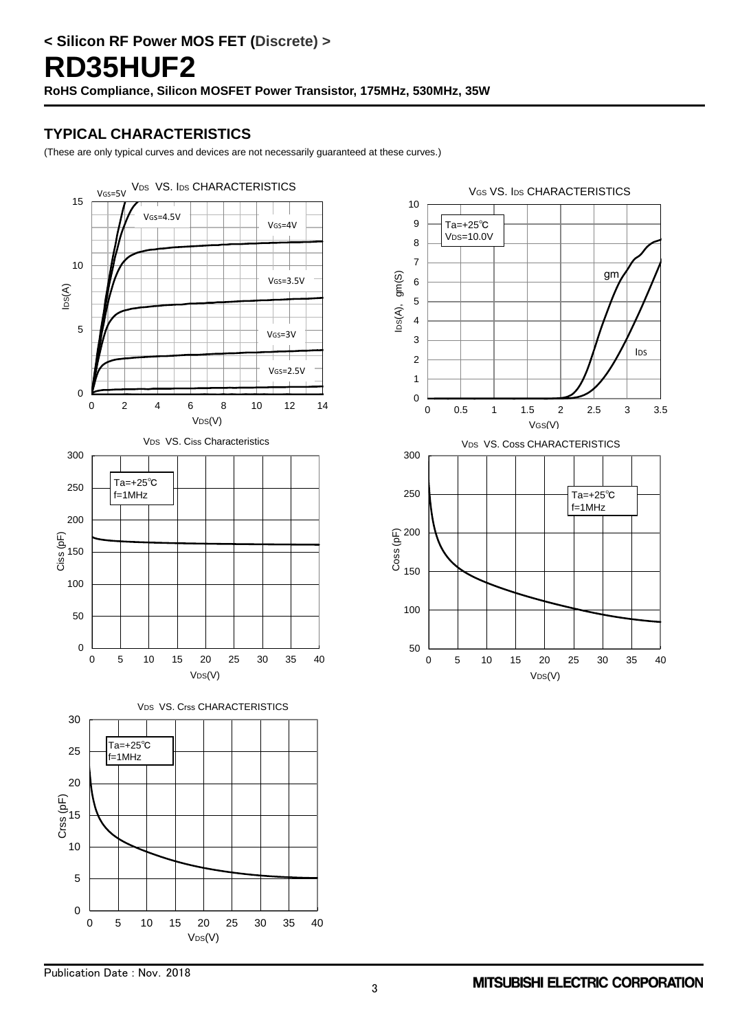# **TYPICAL CHARACTERISTICS**

(These are only typical curves and devices are not necessarily guaranteed at these curves.)



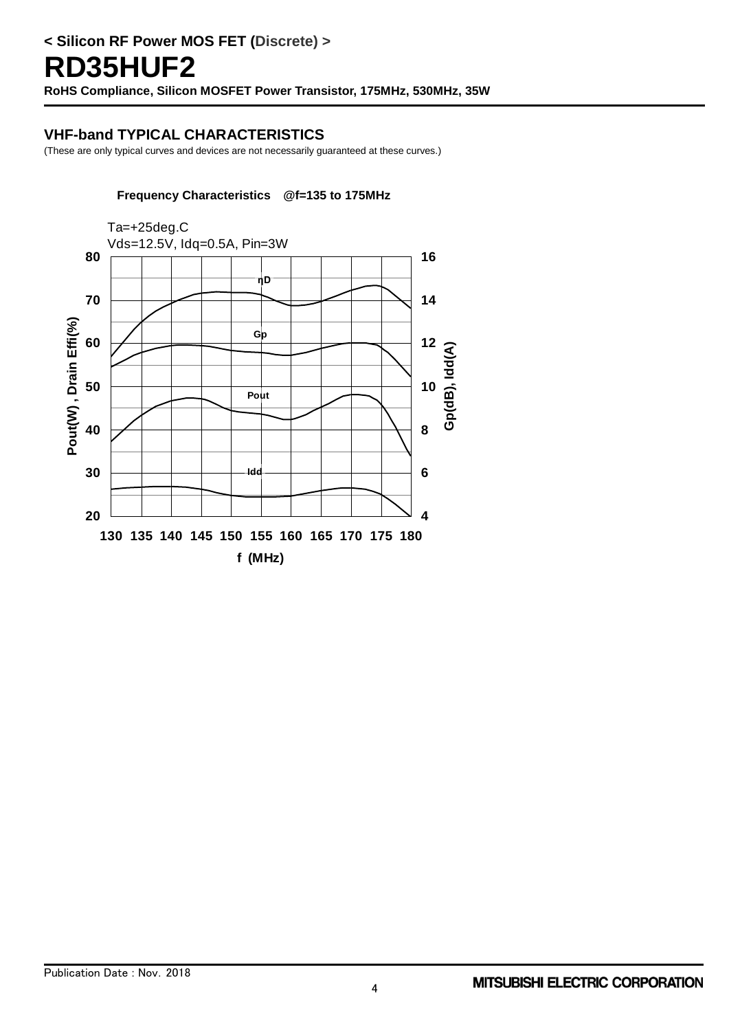#### **VHF-band TYPICAL CHARACTERISTICS**

(These are only typical curves and devices are not necessarily guaranteed at these curves.)

#### **Frequency Characteristics @f=135 to 175MHz**

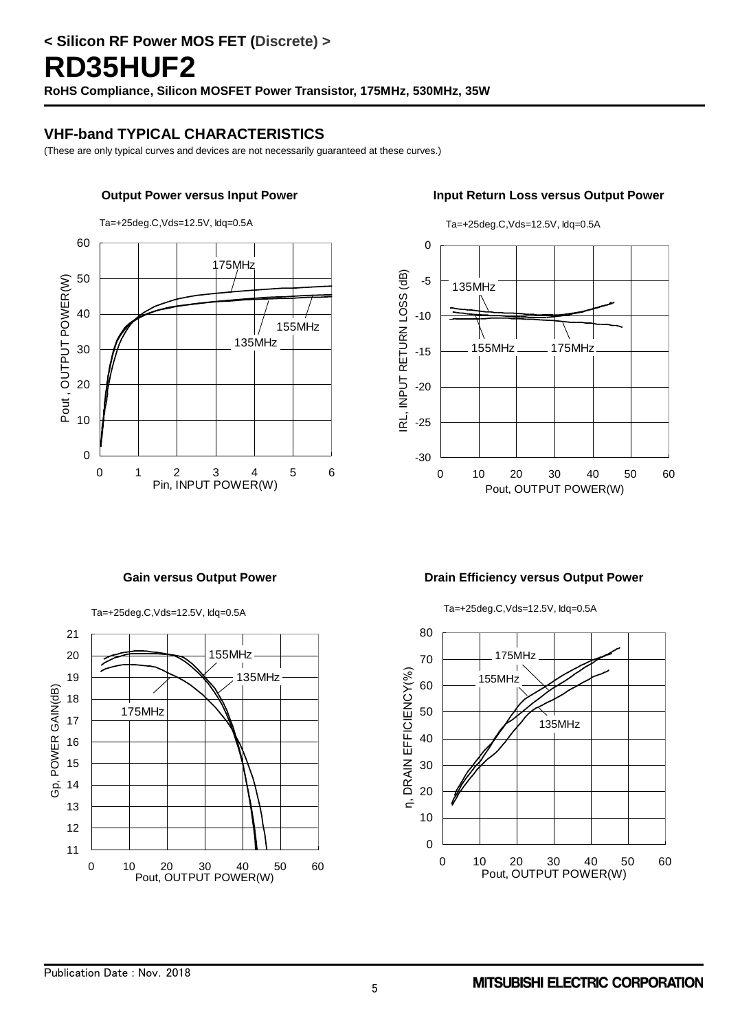### **VHF-band TYPICAL CHARACTERISTICS**

(These are only typical curves and devices are not necessarily guaranteed at these curves.)





Ta=+25deg.C,Vds=12.5V, Idq=0.5A

Ta=+25deg.C,Vds=12.5V, Idq=0.5A



#### Gain versus Output Power **Drain Efficiency versus Output Power**

Ta=+25deg.C,Vds=12.5V, Idq=0.5A

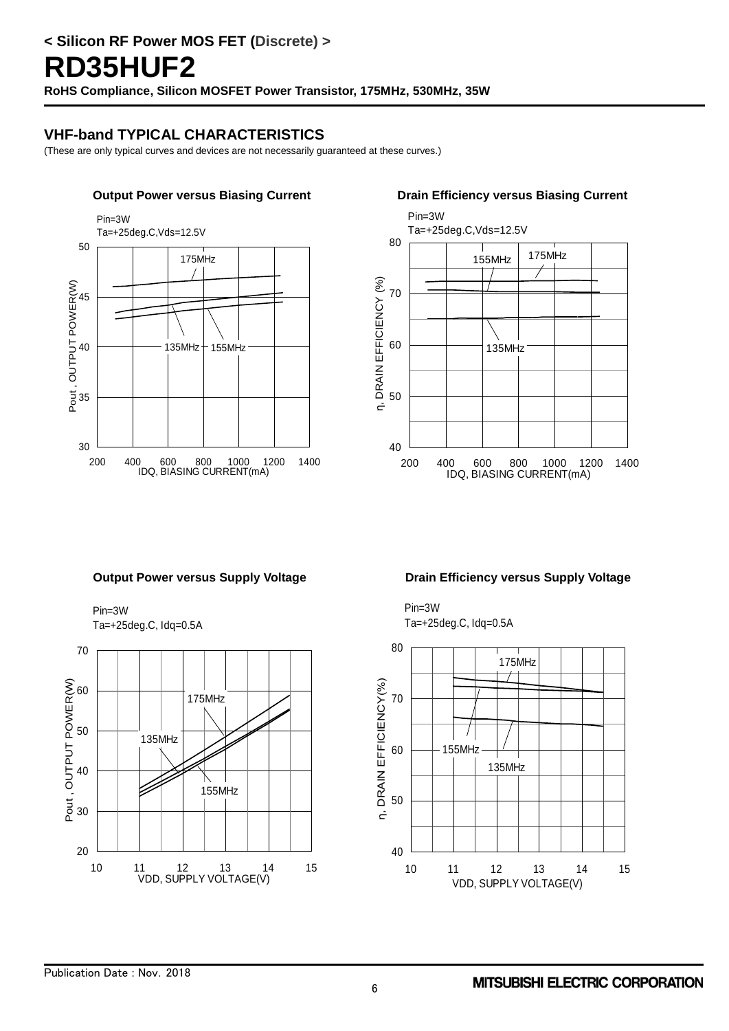# **VHF-band TYPICAL CHARACTERISTICS**

(These are only typical curves and devices are not necessarily guaranteed at these curves.)





Pin=3W Ta=+25deg.C, Idq=0.5A



#### **Output Power versus Supply Voltage Communisty Contract Power Voltage Cup Drain Efficiency versus Supply Voltage**

Pin=3W Ta=+25deg.C, Idq=0.5A

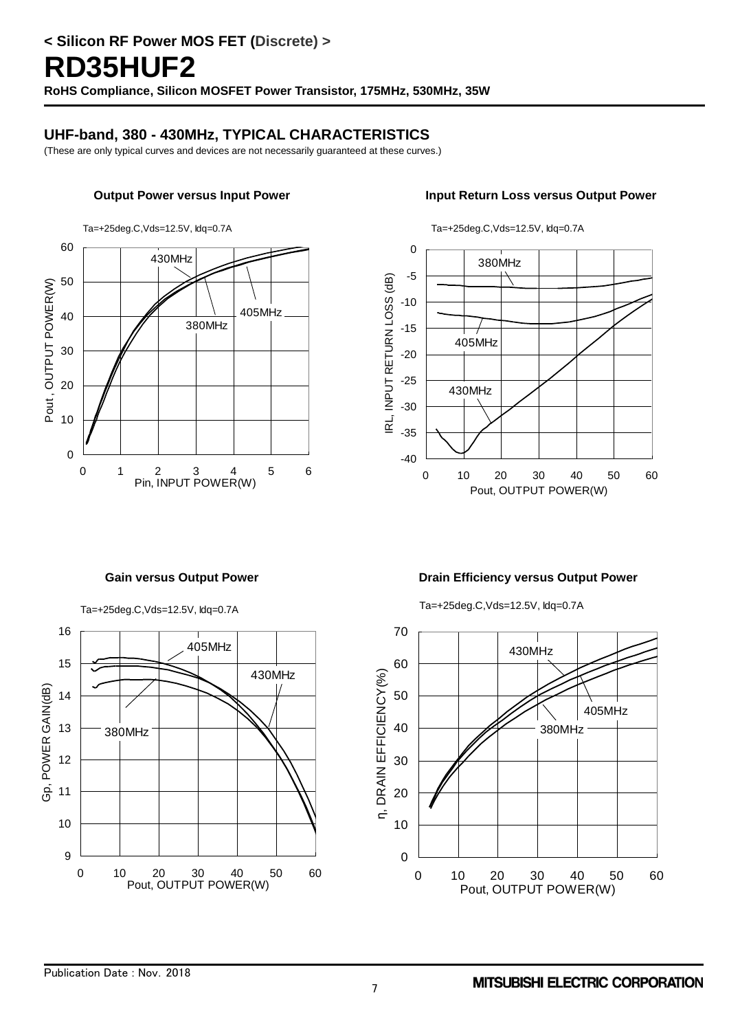### **UHF-band, 380 - 430MHz, TYPICAL CHARACTERISTICS**

(These are only typical curves and devices are not necessarily guaranteed at these curves.)



#### **Output Power versus Input Power Input Return Loss versus Output Power**



Ta=+25deg.C,Vds=12.5V, Idq=0.7A

Ta=+25deg.C,Vds=12.5V, Idq=0.7A



#### Gain versus Output Power **Drain Efficiency versus Output Power**

Ta=+25deg.C,Vds=12.5V, Idq=0.7A

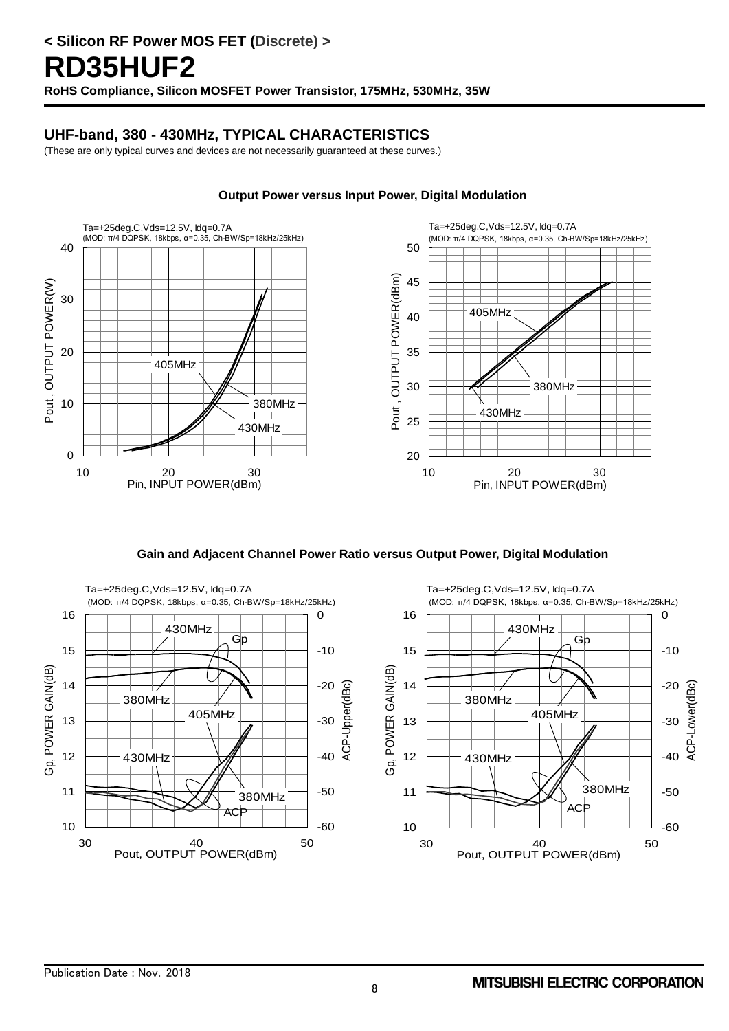### **UHF-band, 380 - 430MHz, TYPICAL CHARACTERISTICS**

(These are only typical curves and devices are not necessarily guaranteed at these curves.)



#### **Output Power versus Input Power, Digital Modulation**

**Gain and Adjacent Channel Power Ratio versus Output Power, Digital Modulation** 

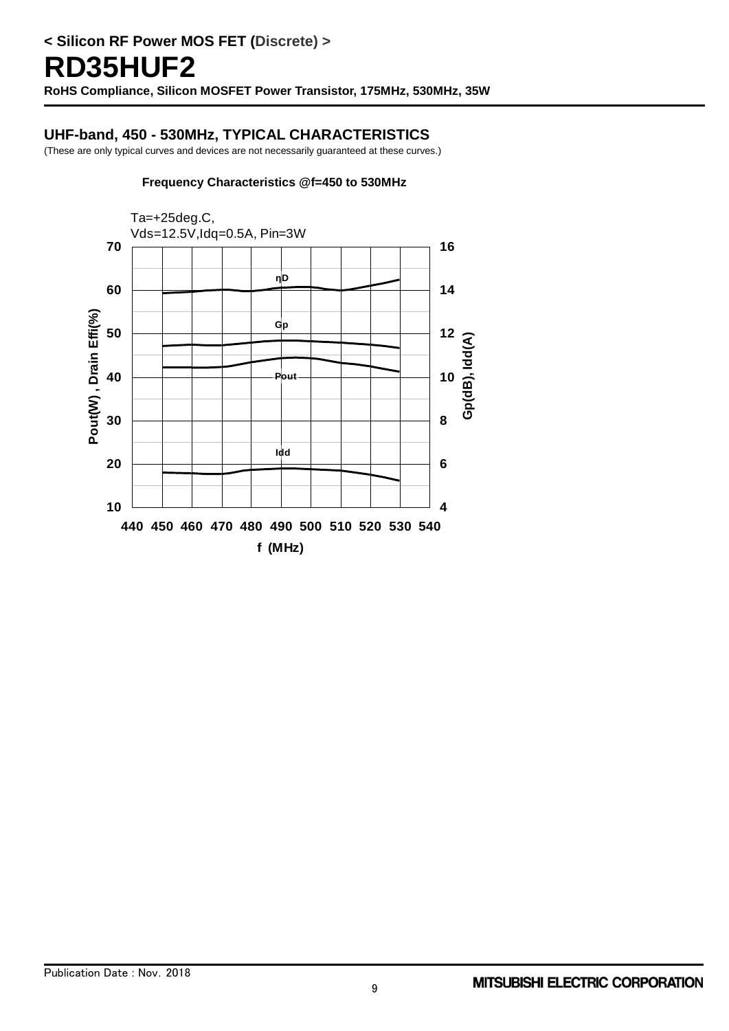#### **UHF-band, 450 - 530MHz, TYPICAL CHARACTERISTICS**

(These are only typical curves and devices are not necessarily guaranteed at these curves.)

#### **Frequency Characteristics @f=450 to 530MHz**

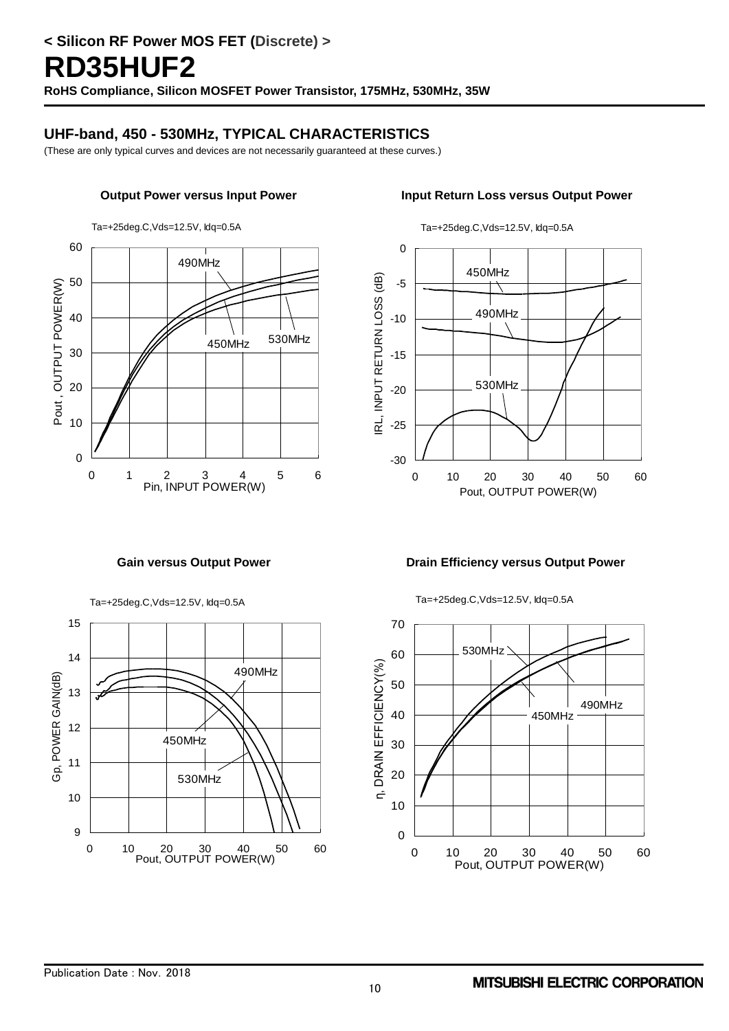### **UHF-band, 450 - 530MHz, TYPICAL CHARACTERISTICS**

(These are only typical curves and devices are not necessarily guaranteed at these curves.)



#### **Output Power versus Input Power Input Return Loss versus Output Power**



#### Gain versus Output Power **Drain Efficiency versus Output Power**

Ta=+25deg.C,Vds=12.5V, Idq=0.5A



Ta=+25deg.C,Vds=12.5V, Idq=0.5A

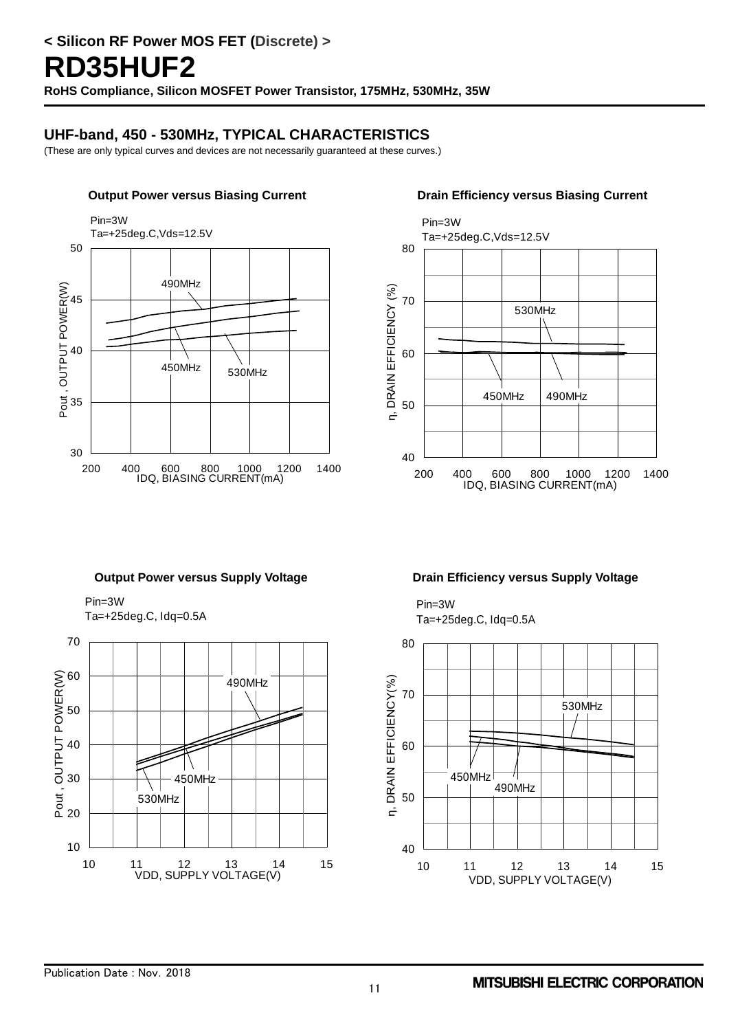### **UHF-band, 450 - 530MHz, TYPICAL CHARACTERISTICS**

(These are only typical curves and devices are not necessarily guaranteed at these curves.)





Pin=3W Ta=+25deg.C, Idq=0.5A



#### **Output Power versus Supply Voltage Drain Efficiency versus Supply Voltage**

Pin=3W Ta=+25deg.C, Idq=0.5A

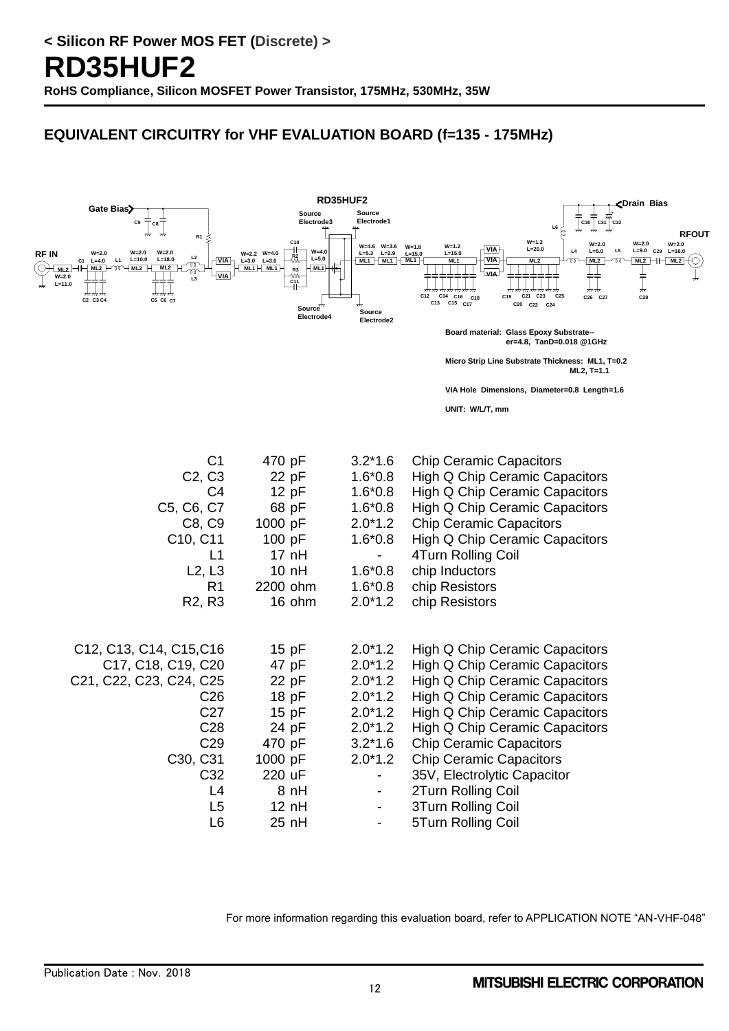# **EQUIVALENT CIRCUITRY for VHF EVALUATION BOARD (f=135 - 175MHz)**



For more information regarding this evaluation board, refer to APPLICATION NOTE "AN-VHF-048"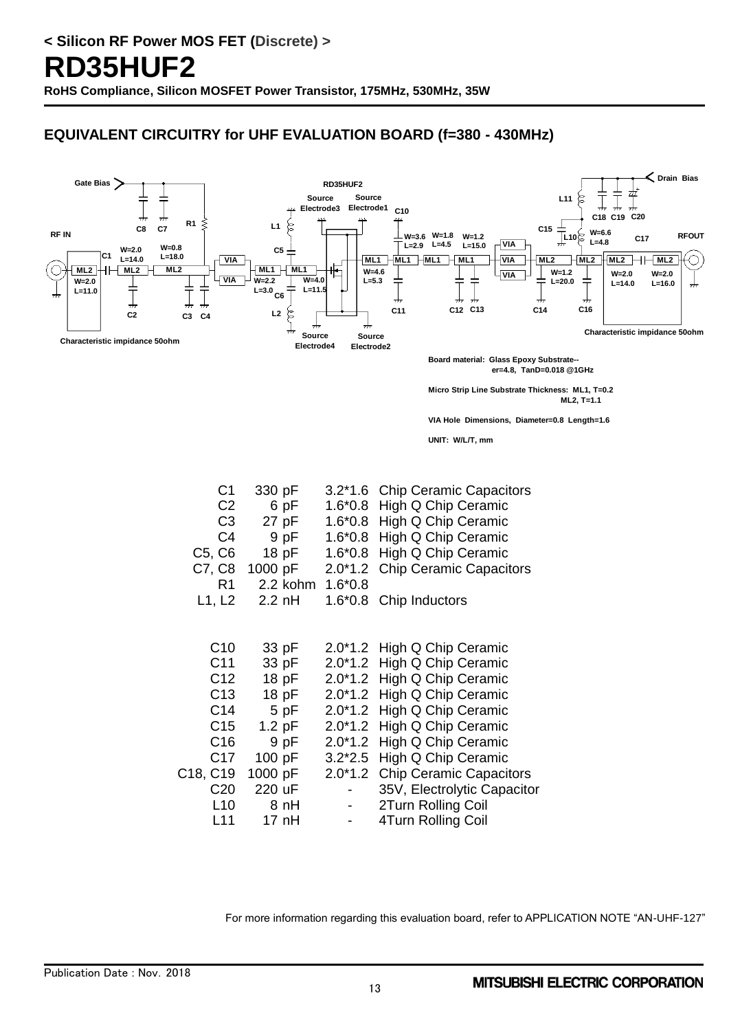# **EQUIVALENT CIRCUITRY for UHF EVALUATION BOARD (f=380 - 430MHz)**



**Micro Strip Line Substrate Thickness: ML1, T=0.2 ML2, T=1.1**

**VIA Hole Dimensions, Diameter=0.8 Length=1.6**

**UNIT: W/L/T, mm**

| C <sub>1</sub>                    | 330 pF   | $3.2*1.6$ | <b>Chip Ceramic Capacitors</b> |
|-----------------------------------|----------|-----------|--------------------------------|
| C <sub>2</sub>                    | 6 pF     | $1.6*0.8$ | High Q Chip Ceramic            |
| C <sub>3</sub>                    | 27 pF    | $1.6*0.8$ | High Q Chip Ceramic            |
| C <sub>4</sub>                    | 9 pF     | $1.6*0.8$ | High Q Chip Ceramic            |
| C5, C6                            | 18 pF    | $1.6*0.8$ | High Q Chip Ceramic            |
| C7, C8                            | 1000 pF  | $2.0*1.2$ | <b>Chip Ceramic Capacitors</b> |
| R1                                | 2.2 kohm | $1.6*0.8$ |                                |
| L1, L2                            | $2.2$ nH | $1.6*0.8$ | Chip Inductors                 |
|                                   |          |           |                                |
|                                   |          |           |                                |
| C10                               | 33 pF    | $2.0*1.2$ | High Q Chip Ceramic            |
| C <sub>11</sub>                   | 33 pF    | $2.0*1.2$ | High Q Chip Ceramic            |
| C <sub>12</sub>                   | 18 pF    | $2.0*1.2$ | High Q Chip Ceramic            |
| C <sub>13</sub>                   | 18 pF    | $2.0*1.2$ | High Q Chip Ceramic            |
| C <sub>14</sub>                   | 5 pF     | $2.0*1.2$ | High Q Chip Ceramic            |
| C <sub>15</sub>                   | $1.2$ pF | $2.0*1.2$ | High Q Chip Ceramic            |
| C <sub>16</sub>                   | 9 pF     | $2.0*1.2$ | High Q Chip Ceramic            |
| C <sub>17</sub>                   | 100 pF   | $3.2*2.5$ | High Q Chip Ceramic            |
| C <sub>18</sub> , C <sub>19</sub> | 1000 pF  | $2.0*1.2$ | <b>Chip Ceramic Capacitors</b> |
| C <sub>20</sub>                   | 220 uF   |           | 35V, Electrolytic Capacitor    |
| L10                               | 8 nH     |           | 2Turn Rolling Coil             |
| L11                               | 17 nH    |           | 4Turn Rolling Coil             |
|                                   |          |           |                                |

For more information regarding this evaluation board, refer to APPLICATION NOTE "AN-UHF-127"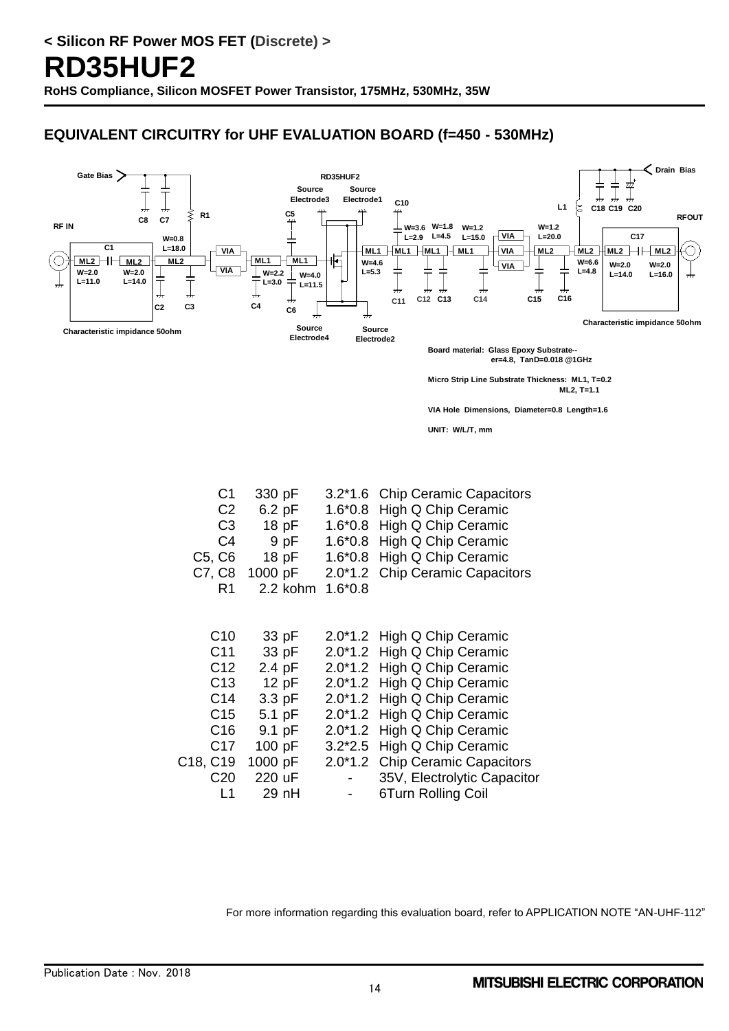# **EQUIVALENT CIRCUITRY for UHF EVALUATION BOARD (f=450 - 530MHz)**



**UNIT: W/L/T, mm**

| C1              | 330 pF   | $3.2*1.6$ | <b>Chip Ceramic Capacitors</b> |
|-----------------|----------|-----------|--------------------------------|
| C <sub>2</sub>  | $6.2$ pF | $1.6*0.8$ | High Q Chip Ceramic            |
| C <sub>3</sub>  | 18 pF    | $1.6*0.8$ | High Q Chip Ceramic            |
| C4              | 9 pF     | $1.6*0.8$ | High Q Chip Ceramic            |
| C5, C6          | 18 pF    | $1.6*0.8$ | High Q Chip Ceramic            |
| C7, C8          | 1000 pF  | $2.0*1.2$ | <b>Chip Ceramic Capacitors</b> |
| R <sub>1</sub>  | 2.2 kohm | $1.6*0.8$ |                                |
|                 |          |           |                                |
|                 |          |           |                                |
| C <sub>10</sub> | 33 pF    | $2.0*1.2$ | High Q Chip Ceramic            |
| C <sub>11</sub> | 33 pF    | $2.0*1.2$ | High Q Chip Ceramic            |
| C <sub>12</sub> | 2.4 pF   | $2.0*1.2$ | High Q Chip Ceramic            |
| C <sub>13</sub> | 12pF     | $2.0*1.2$ | High Q Chip Ceramic            |
| C <sub>14</sub> | $3.3$ pF | $2.0*1.2$ | High Q Chip Ceramic            |
| C <sub>15</sub> | 5.1 pF   | $2.0*1.2$ | High Q Chip Ceramic            |
| C <sub>16</sub> | 9.1 pF   | $2.0*1.2$ | High Q Chip Ceramic            |
| C <sub>17</sub> | 100 pF   | $3.2*2.5$ | High Q Chip Ceramic            |
| C18, C19        | 1000 pF  | $2.0*1.2$ | <b>Chip Ceramic Capacitors</b> |
| C <sub>20</sub> | 220 uF   |           | 35V, Electrolytic Capacitor    |
| L1              | 29 nH    |           | 6Turn Rolling Coil             |

For more information regarding this evaluation board, refer to APPLICATION NOTE "AN-UHF-112"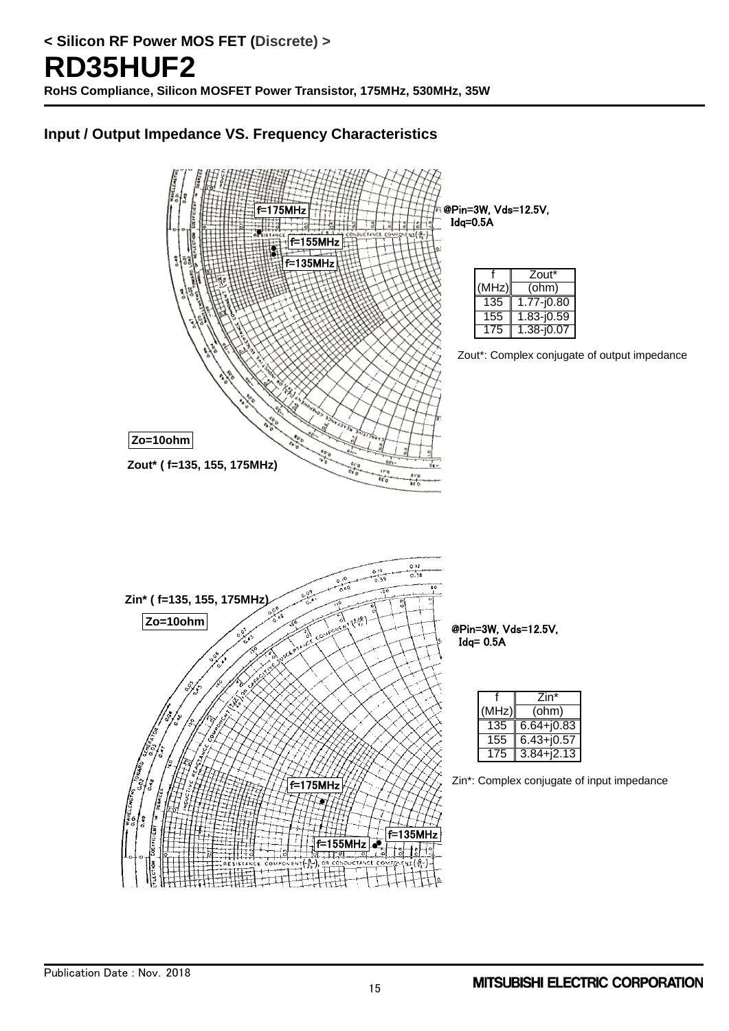# **Input / Output Impedance VS. Frequency Characteristics**

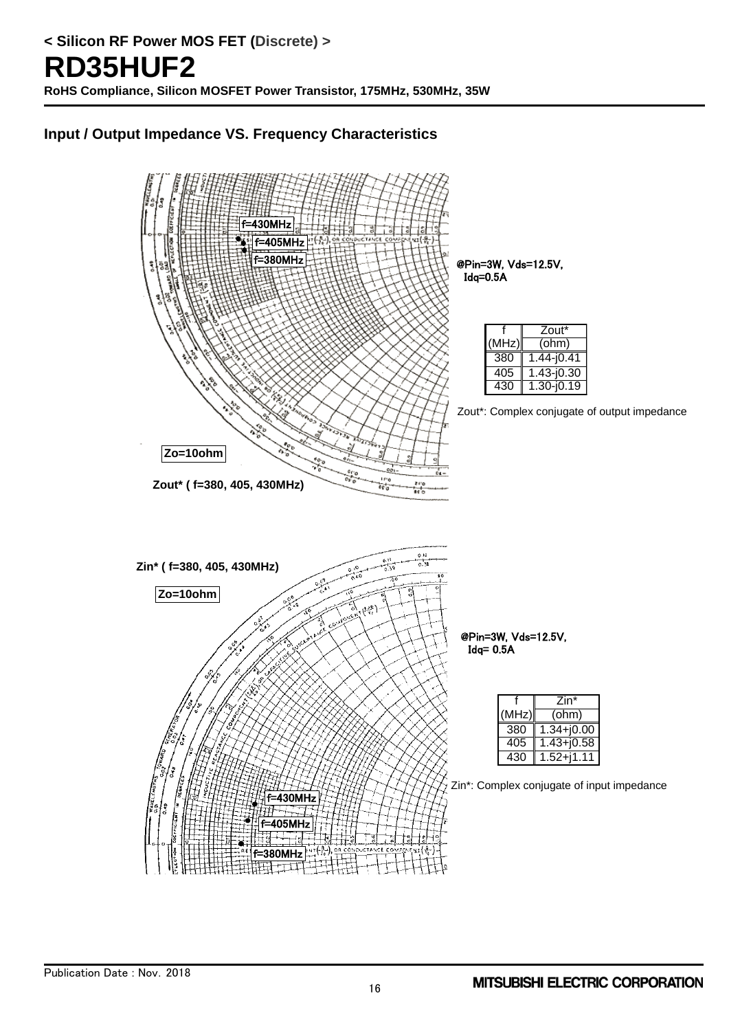# **Input / Output Impedance VS. Frequency Characteristics**

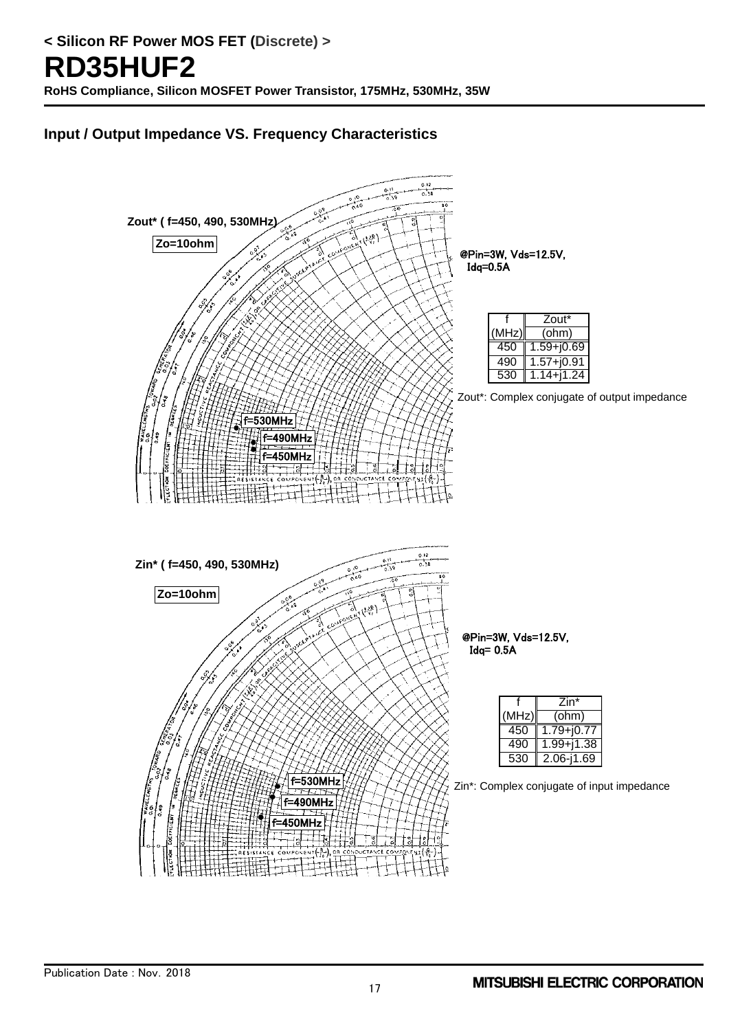# **Input / Output Impedance VS. Frequency Characteristics**

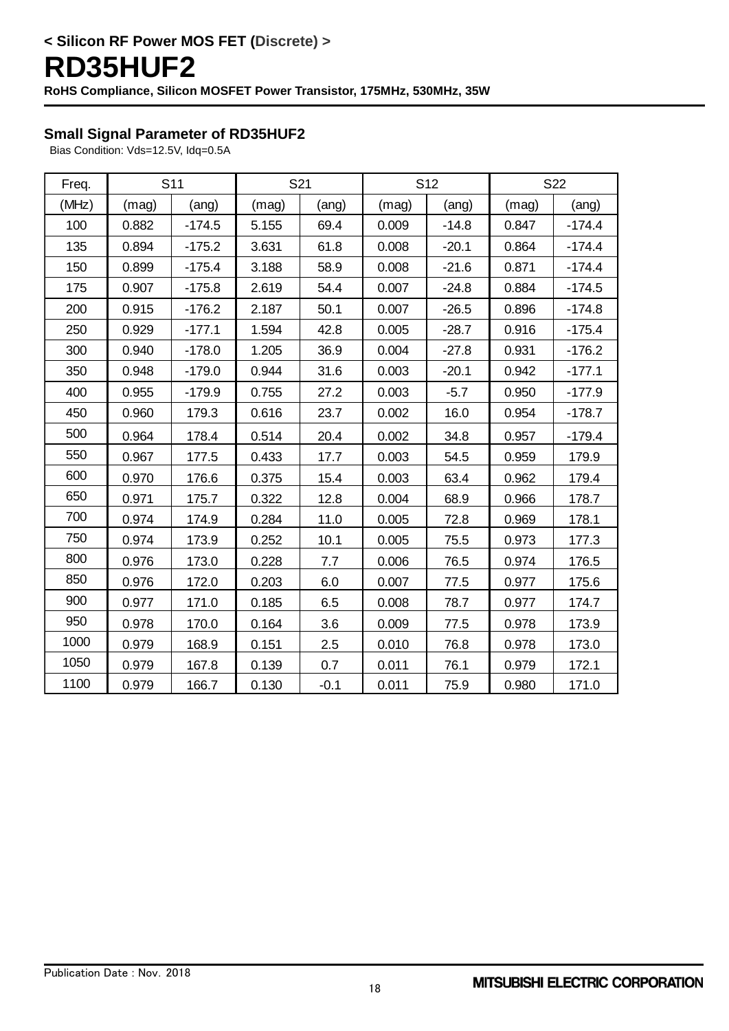# **Small Signal Parameter of RD35HUF2**

Bias Condition: Vds=12.5V, Idq=0.5A

| Freq. |       | S <sub>11</sub> | S21   |        | S <sub>12</sub> |         | S22   |          |
|-------|-------|-----------------|-------|--------|-----------------|---------|-------|----------|
| (MHz) | (mag) | (ang)           | (mag) | (ang)  | (mag)           | (ang)   | (mag) | (ang)    |
| 100   | 0.882 | $-174.5$        | 5.155 | 69.4   | 0.009           | $-14.8$ | 0.847 | $-174.4$ |
| 135   | 0.894 | $-175.2$        | 3.631 | 61.8   | 0.008           | $-20.1$ | 0.864 | $-174.4$ |
| 150   | 0.899 | $-175.4$        | 3.188 | 58.9   | 0.008           | $-21.6$ | 0.871 | $-174.4$ |
| 175   | 0.907 | $-175.8$        | 2.619 | 54.4   | 0.007           | $-24.8$ | 0.884 | $-174.5$ |
| 200   | 0.915 | $-176.2$        | 2.187 | 50.1   | 0.007           | $-26.5$ | 0.896 | $-174.8$ |
| 250   | 0.929 | $-177.1$        | 1.594 | 42.8   | 0.005           | $-28.7$ | 0.916 | $-175.4$ |
| 300   | 0.940 | $-178.0$        | 1.205 | 36.9   | 0.004           | $-27.8$ | 0.931 | $-176.2$ |
| 350   | 0.948 | $-179.0$        | 0.944 | 31.6   | 0.003           | $-20.1$ | 0.942 | $-177.1$ |
| 400   | 0.955 | $-179.9$        | 0.755 | 27.2   | 0.003           | $-5.7$  | 0.950 | $-177.9$ |
| 450   | 0.960 | 179.3           | 0.616 | 23.7   | 0.002           | 16.0    | 0.954 | $-178.7$ |
| 500   | 0.964 | 178.4           | 0.514 | 20.4   | 0.002           | 34.8    | 0.957 | $-179.4$ |
| 550   | 0.967 | 177.5           | 0.433 | 17.7   | 0.003           | 54.5    | 0.959 | 179.9    |
| 600   | 0.970 | 176.6           | 0.375 | 15.4   | 0.003           | 63.4    | 0.962 | 179.4    |
| 650   | 0.971 | 175.7           | 0.322 | 12.8   | 0.004           | 68.9    | 0.966 | 178.7    |
| 700   | 0.974 | 174.9           | 0.284 | 11.0   | 0.005           | 72.8    | 0.969 | 178.1    |
| 750   | 0.974 | 173.9           | 0.252 | 10.1   | 0.005           | 75.5    | 0.973 | 177.3    |
| 800   | 0.976 | 173.0           | 0.228 | 7.7    | 0.006           | 76.5    | 0.974 | 176.5    |
| 850   | 0.976 | 172.0           | 0.203 | 6.0    | 0.007           | 77.5    | 0.977 | 175.6    |
| 900   | 0.977 | 171.0           | 0.185 | 6.5    | 0.008           | 78.7    | 0.977 | 174.7    |
| 950   | 0.978 | 170.0           | 0.164 | 3.6    | 0.009           | 77.5    | 0.978 | 173.9    |
| 1000  | 0.979 | 168.9           | 0.151 | 2.5    | 0.010           | 76.8    | 0.978 | 173.0    |
| 1050  | 0.979 | 167.8           | 0.139 | 0.7    | 0.011           | 76.1    | 0.979 | 172.1    |
| 1100  | 0.979 | 166.7           | 0.130 | $-0.1$ | 0.011           | 75.9    | 0.980 | 171.0    |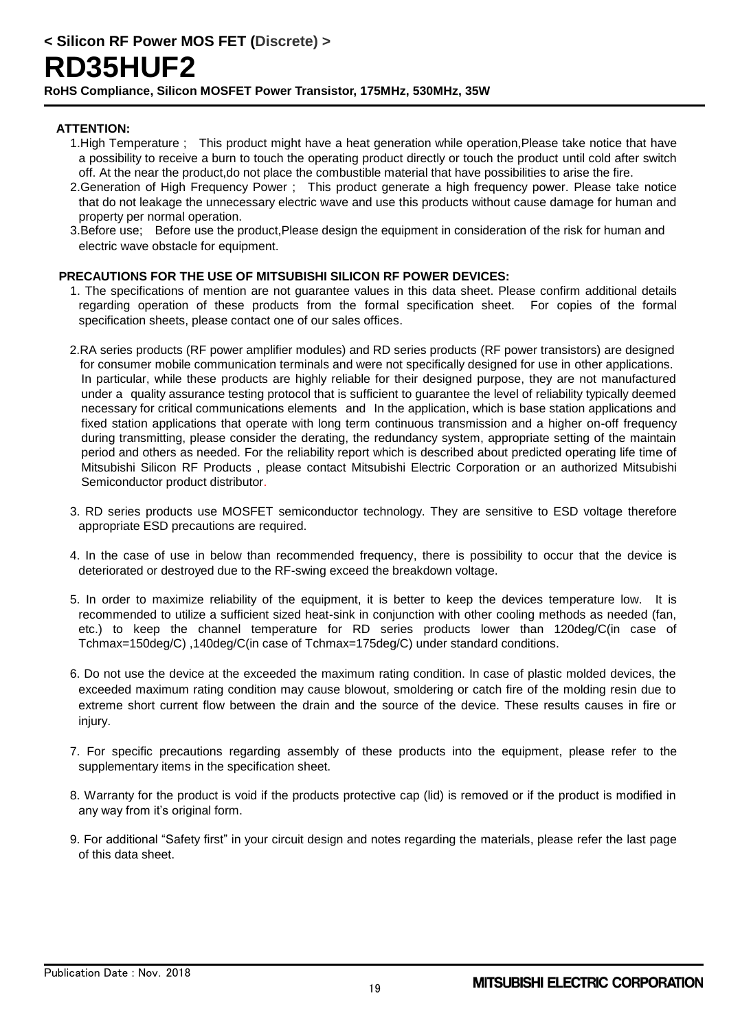#### **ATTENTION:**

- 1.High Temperature ; This product might have a heat generation while operation,Please take notice that have a possibility to receive a burn to touch the operating product directly or touch the product until cold after switch off. At the near the product,do not place the combustible material that have possibilities to arise the fire.
- 2.Generation of High Frequency Power ; This product generate a high frequency power. Please take notice that do not leakage the unnecessary electric wave and use this products without cause damage for human and property per normal operation.
- 3.Before use; Before use the product,Please design the equipment in consideration of the risk for human and electric wave obstacle for equipment.

#### **PRECAUTIONS FOR THE USE OF MITSUBISHI SILICON RF POWER DEVICES:**

- 1. The specifications of mention are not guarantee values in this data sheet. Please confirm additional details regarding operation of these products from the formal specification sheet. For copies of the formal specification sheets, please contact one of our sales offices.
- 2.RA series products (RF power amplifier modules) and RD series products (RF power transistors) are designed for consumer mobile communication terminals and were not specifically designed for use in other applications. In particular, while these products are highly reliable for their designed purpose, they are not manufactured under a quality assurance testing protocol that is sufficient to guarantee the level of reliability typically deemed necessary for critical communications elements and In the application, which is base station applications and fixed station applications that operate with long term continuous transmission and a higher on-off frequency during transmitting, please consider the derating, the redundancy system, appropriate setting of the maintain period and others as needed. For the reliability report which is described about predicted operating life time of Mitsubishi Silicon RF Products , please contact Mitsubishi Electric Corporation or an authorized Mitsubishi Semiconductor product distributor.
- 3. RD series products use MOSFET semiconductor technology. They are sensitive to ESD voltage therefore appropriate ESD precautions are required.
- 4. In the case of use in below than recommended frequency, there is possibility to occur that the device is deteriorated or destroyed due to the RF-swing exceed the breakdown voltage.
- 5. In order to maximize reliability of the equipment, it is better to keep the devices temperature low. It is recommended to utilize a sufficient sized heat-sink in conjunction with other cooling methods as needed (fan, etc.) to keep the channel temperature for RD series products lower than 120deg/C(in case of Tchmax=150deg/C) ,140deg/C(in case of Tchmax=175deg/C) under standard conditions.
- 6. Do not use the device at the exceeded the maximum rating condition. In case of plastic molded devices, the exceeded maximum rating condition may cause blowout, smoldering or catch fire of the molding resin due to extreme short current flow between the drain and the source of the device. These results causes in fire or injury.
- 7. For specific precautions regarding assembly of these products into the equipment, please refer to the supplementary items in the specification sheet.
- 8. Warranty for the product is void if the products protective cap (lid) is removed or if the product is modified in any way from it's original form.
- 9. For additional "Safety first" in your circuit design and notes regarding the materials, please refer the last page of this data sheet.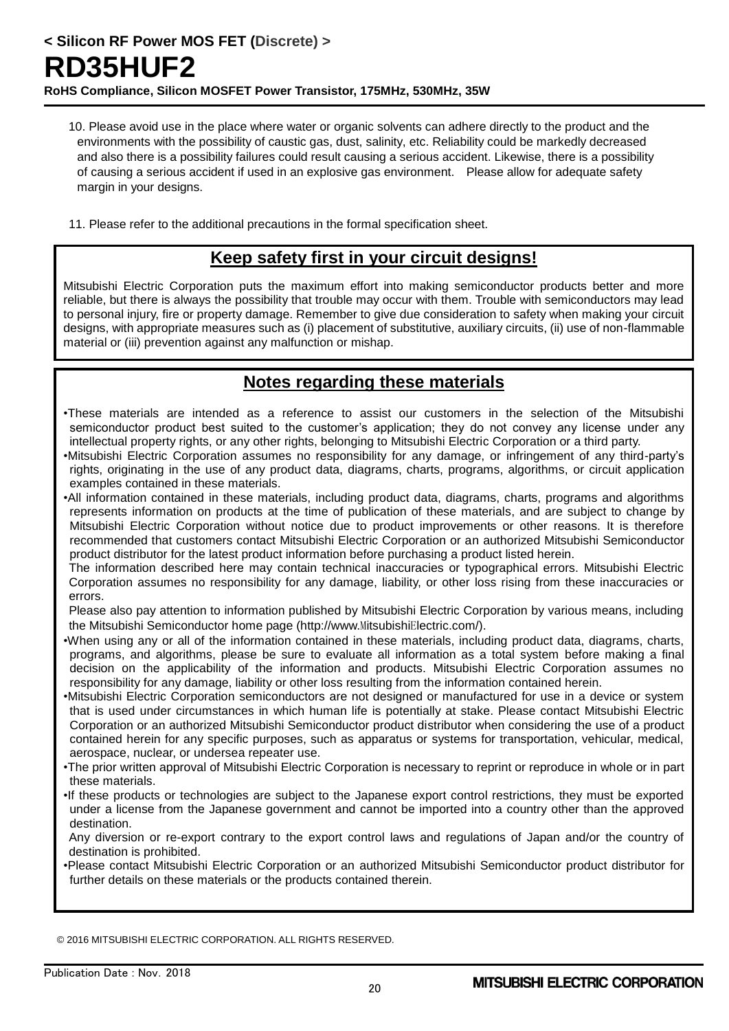- 10. Please avoid use in the place where water or organic solvents can adhere directly to the product and the environments with the possibility of caustic gas, dust, salinity, etc. Reliability could be markedly decreased and also there is a possibility failures could result causing a serious accident. Likewise, there is a possibility of causing a serious accident if used in an explosive gas environment. Please allow for adequate safety margin in your designs.
- 11. Please refer to the additional precautions in the formal specification sheet.

# **Keep safety first in your circuit designs!**

Mitsubishi Electric Corporation puts the maximum effort into making semiconductor products better and more reliable, but there is always the possibility that trouble may occur with them. Trouble with semiconductors may lead to personal injury, fire or property damage. Remember to give due consideration to safety when making your circuit designs, with appropriate measures such as (i) placement of substitutive, auxiliary circuits, (ii) use of non-flammable material or (iii) prevention against any malfunction or mishap.

# **Notes regarding these materials**

- •These materials are intended as a reference to assist our customers in the selection of the Mitsubishi semiconductor product best suited to the customer's application; they do not convey any license under any intellectual property rights, or any other rights, belonging to Mitsubishi Electric Corporation or a third party.
- •Mitsubishi Electric Corporation assumes no responsibility for any damage, or infringement of any third-party's rights, originating in the use of any product data, diagrams, charts, programs, algorithms, or circuit application examples contained in these materials.
- •All information contained in these materials, including product data, diagrams, charts, programs and algorithms represents information on products at the time of publication of these materials, and are subject to change by Mitsubishi Electric Corporation without notice due to product improvements or other reasons. It is therefore recommended that customers contact Mitsubishi Electric Corporation or an authorized Mitsubishi Semiconductor product distributor for the latest product information before purchasing a product listed herein.
- The information described here may contain technical inaccuracies or typographical errors. Mitsubishi Electric Corporation assumes no responsibility for any damage, liability, or other loss rising from these inaccuracies or errors.

Please also pay attention to information published by Mitsubishi Electric Corporation by various means, including the Mitsubishi Semiconductor home page (http://www.MitsubishiElectric.com/).

- •When using any or all of the information contained in these materials, including product data, diagrams, charts, programs, and algorithms, please be sure to evaluate all information as a total system before making a final decision on the applicability of the information and products. Mitsubishi Electric Corporation assumes no responsibility for any damage, liability or other loss resulting from the information contained herein.
- •Mitsubishi Electric Corporation semiconductors are not designed or manufactured for use in a device or system that is used under circumstances in which human life is potentially at stake. Please contact Mitsubishi Electric Corporation or an authorized Mitsubishi Semiconductor product distributor when considering the use of a product contained herein for any specific purposes, such as apparatus or systems for transportation, vehicular, medical, aerospace, nuclear, or undersea repeater use.
- •The prior written approval of Mitsubishi Electric Corporation is necessary to reprint or reproduce in whole or in part these materials.
- •If these products or technologies are subject to the Japanese export control restrictions, they must be exported under a license from the Japanese government and cannot be imported into a country other than the approved destination.
- Any diversion or re-export contrary to the export control laws and regulations of Japan and/or the country of destination is prohibited.
- •Please contact Mitsubishi Electric Corporation or an authorized Mitsubishi Semiconductor product distributor for further details on these materials or the products contained therein.

© 2016 MITSUBISHI ELECTRIC CORPORATION. ALL RIGHTS RESERVED.